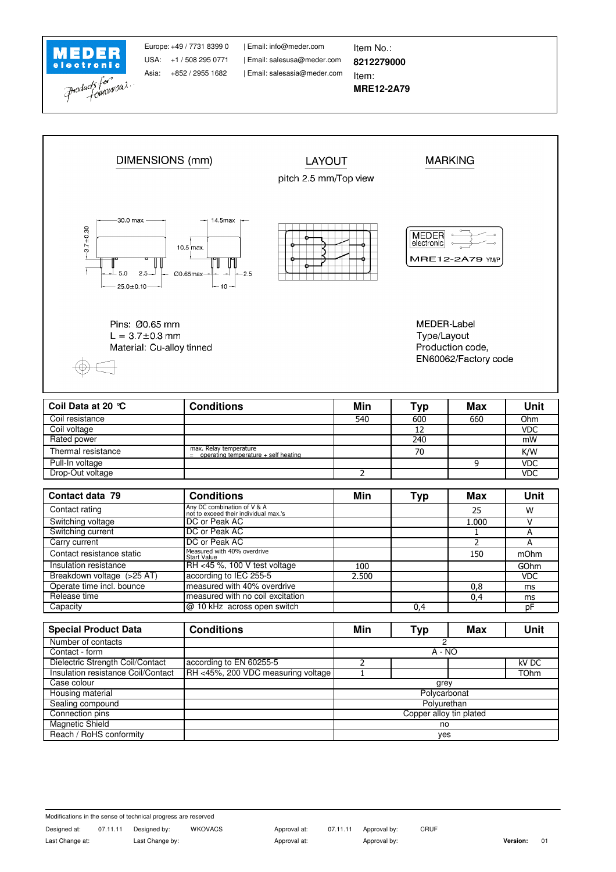

Asia: +852 / 2955 1682

| Email: salesasia@meder.com USA: +1 / 508 295 0771 | Email: salesusa@meder.com Europe: +49 / 7731 8399 0 | Email: info@meder.com | Item No.:

Item: **8212279000**

## **MRE12-2A79**



| Garry current              | TDC or Peak AC                             |       |     |     |            |
|----------------------------|--------------------------------------------|-------|-----|-----|------------|
| Contact resistance static  | Measured with 40% overdrive<br>Start Value |       |     | 150 | mOhm       |
| Insulation resistance      | IRH <45 %, 100 V test voltage              | 100   |     |     | GOhm       |
| Breakdown voltage (>25 AT) | according to IEC 255-5                     | 2.500 |     |     | <b>VDC</b> |
| Operate time incl. bounce  | measured with 40% overdrive                |       |     | 0.8 | ms         |
| Release time               | measured with no coil excitation           |       |     |     | ms         |
| Capacity                   | $ @10 \text{ kHz}$ across open switch      |       | 0.4 |     | nŀ         |
|                            |                                            |       |     |     |            |

| <b>Special Product Data</b>        | <b>Conditions</b>                  | Min                     | Typ | Max | <b>Unit</b> |  |
|------------------------------------|------------------------------------|-------------------------|-----|-----|-------------|--|
| Number of contacts                 |                                    | 2                       |     |     |             |  |
| Contact - form                     |                                    | $A - NO$                |     |     |             |  |
| Dielectric Strength Coil/Contact   | according to EN 60255-5            |                         |     |     | kV DC       |  |
| Insulation resistance Coil/Contact | RH <45%, 200 VDC measuring voltage |                         |     |     | <b>TOhm</b> |  |
| Case colour                        |                                    | grey                    |     |     |             |  |
| Housing material                   |                                    | Polycarbonat            |     |     |             |  |
| Sealing compound                   |                                    | Polyurethan             |     |     |             |  |
| Connection pins                    |                                    | Copper alloy tin plated |     |     |             |  |
| <b>Magnetic Shield</b>             |                                    | no                      |     |     |             |  |
| Reach / RoHS conformity            |                                    | yes                     |     |     |             |  |